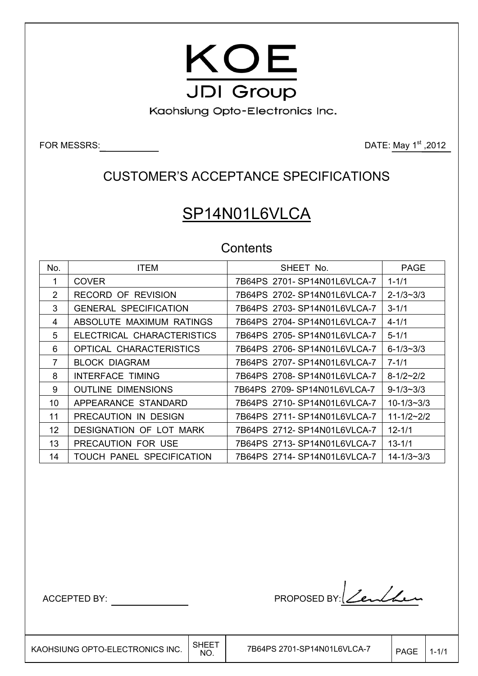

Kaohsiung Opto-Electronics Inc.

FOR MESSRS: DATE: May 1st ,2012

## CUSTOMER'S ACCEPTANCE SPECIFICATIONS

# SP14N01L6VLCA

### **Contents**

| No.             | <b>ITEM</b>                  | SHEET No.                    | <b>PAGE</b>        |
|-----------------|------------------------------|------------------------------|--------------------|
| 1               | <b>COVER</b>                 | 7B64PS 2701-SP14N01L6VLCA-7  | $1 - 1/1$          |
| 2               | <b>RECORD OF REVISION</b>    | 7B64PS 2702-SP14N01L6VLCA-7  | $2 - 1/3 \sim 3/3$ |
| 3               | <b>GENERAL SPECIFICATION</b> | 7B64PS 2703-SP14N01L6VLCA-7  | $3 - 1/1$          |
| 4               | ABSOLUTE MAXIMUM RATINGS     | 7B64PS 2704-SP14N01L6VLCA-7  | $4 - 1/1$          |
| 5               | ELECTRICAL CHARACTERISTICS   | 7B64PS 2705-SP14N01L6VLCA-7  | $5 - 1/1$          |
| 6               | OPTICAL CHARACTERISTICS      | 7B64PS 2706-SP14N01L6VLCA-7  | $6 - 1/3 \sim 3/3$ |
| 7               | <b>BLOCK DIAGRAM</b>         | 7B64PS 2707-SP14N01L6VLCA-7  | $7 - 1/1$          |
| 8               | <b>INTERFACE TIMING</b>      | 7B64PS 2708-SP14N01L6VLCA-7  | $8 - 1/2 \sim 2/2$ |
| 9               | <b>OUTLINE DIMENSIONS</b>    | 7B64PS 2709-SP14N01L6VLCA-7  | $9 - 1/3 \sim 3/3$ |
| 10              | APPEARANCE STANDARD          | 7B64PS 2710-SP14N01L6VLCA-7  | $10 - 1/3 - 3/3$   |
| 11              | PRECAUTION IN DESIGN         | 7B64PS 2711- SP14N01L6VLCA-7 | $11 - 1/2 - 2/2$   |
| 12 <sup>2</sup> | DESIGNATION OF LOT MARK      | 7B64PS 2712-SP14N01L6VLCA-7  | $12 - 1/1$         |
| 13              | PRECAUTION FOR USE           | 7B64PS 2713-SP14N01L6VLCA-7  | $13 - 1/1$         |
| 14              | TOUCH PANEL SPECIFICATION    | 7B64PS 2714-SP14N01L6VLCA-7  | $14 - 1/3 - 3/3$   |

 $\overline{\phantom{a}}$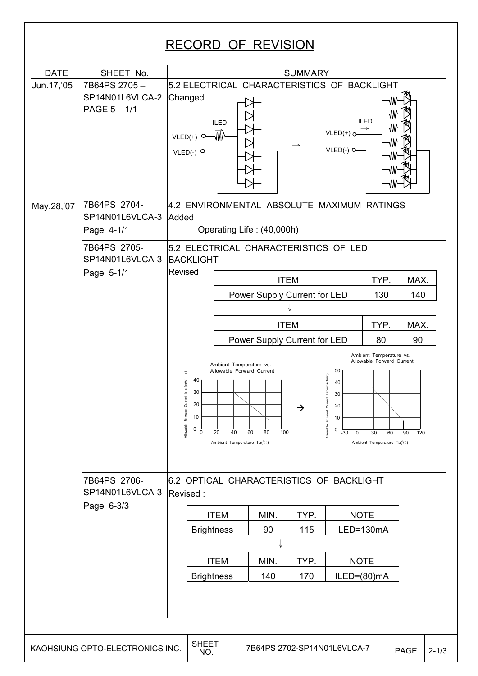## RECORD OF REVISION

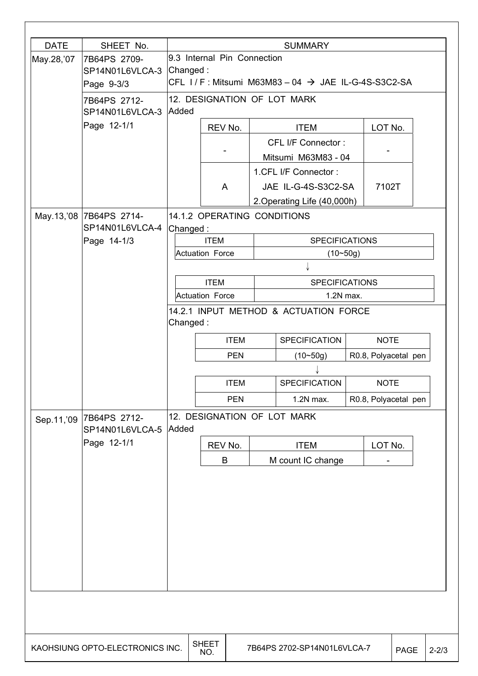| <b>DATE</b> | SHEET No.                                              |          |                                                                                                  |  | <b>SUMMARY</b>                                                             |                      |      |           |
|-------------|--------------------------------------------------------|----------|--------------------------------------------------------------------------------------------------|--|----------------------------------------------------------------------------|----------------------|------|-----------|
| May.28,'07  | 7B64PS 2709-<br>SP14N01L6VLCA-3 Changed:<br>Page 9-3/3 |          | 9.3 Internal Pin Connection<br>CFL $1/F$ : Mitsumi M63M83 - 04 $\rightarrow$ JAE IL-G-4S-S3C2-SA |  |                                                                            |                      |      |           |
|             | 7B64PS 2712-<br>SP14N01L6VLCA-3 Added                  |          | 12. DESIGNATION OF LOT MARK                                                                      |  |                                                                            |                      |      |           |
|             | Page 12-1/1                                            |          | REV No.                                                                                          |  | <b>ITEM</b>                                                                | LOT No.              |      |           |
|             |                                                        |          |                                                                                                  |  | CFL I/F Connector:<br>Mitsumi M63M83 - 04                                  |                      |      |           |
|             |                                                        |          | A                                                                                                |  | 1.CFL I/F Connector:<br>JAE IL-G-4S-S3C2-SA<br>2. Operating Life (40,000h) | 7102T                |      |           |
|             | May.13,'08 7B64PS 2714-                                |          | 14.1.2 OPERATING CONDITIONS                                                                      |  |                                                                            |                      |      |           |
|             | SP14N01L6VLCA-4<br>Page 14-1/3                         | Changed: | <b>ITEM</b><br><b>Actuation Force</b>                                                            |  | <b>SPECIFICATIONS</b><br>$(10 - 50g)$                                      |                      |      |           |
|             |                                                        |          |                                                                                                  |  |                                                                            |                      |      |           |
|             |                                                        |          | <b>ITEM</b>                                                                                      |  | <b>SPECIFICATIONS</b>                                                      |                      |      |           |
|             |                                                        |          | <b>Actuation Force</b>                                                                           |  | 1.2N max.<br>14.2.1 INPUT METHOD & ACTUATION FORCE                         |                      |      |           |
|             |                                                        | Changed: |                                                                                                  |  |                                                                            |                      |      |           |
|             |                                                        |          | <b>ITEM</b>                                                                                      |  | <b>SPECIFICATION</b>                                                       | <b>NOTE</b>          |      |           |
|             |                                                        |          | <b>PEN</b>                                                                                       |  | $(10 - 50g)$                                                               | R0.8, Polyacetal pen |      |           |
|             |                                                        |          | <b>ITEM</b>                                                                                      |  | <b>SPECIFICATION</b>                                                       | <b>NOTE</b>          |      |           |
|             |                                                        |          | <b>PEN</b>                                                                                       |  | 1.2N max.                                                                  | R0.8, Polyacetal pen |      |           |
| Sep.11,'09  | 7B64PS 2712-<br>SP14N01L6VLCA-5                        | Added    | 12. DESIGNATION OF LOT MARK                                                                      |  |                                                                            |                      |      |           |
|             | Page 12-1/1                                            |          | REV No.                                                                                          |  | <b>ITEM</b>                                                                | LOT No.              |      |           |
|             |                                                        |          | B                                                                                                |  | M count IC change                                                          |                      |      |           |
|             |                                                        |          |                                                                                                  |  |                                                                            |                      |      |           |
|             | KAOHSIUNG OPTO-ELECTRONICS INC.                        |          | <b>SHEET</b><br>NO.                                                                              |  | 7B64PS 2702-SP14N01L6VLCA-7                                                |                      | PAGE | $2 - 2/3$ |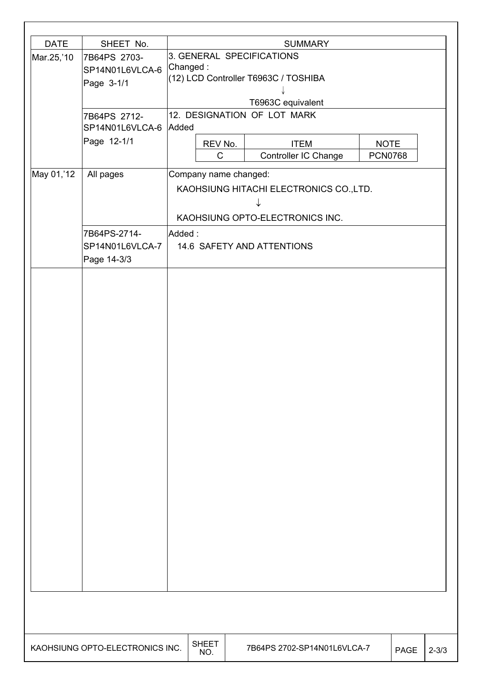| <b>DATE</b> | SHEET No.                       |          |                       | <b>SUMMARY</b>                          |                |             |           |
|-------------|---------------------------------|----------|-----------------------|-----------------------------------------|----------------|-------------|-----------|
| Mar.25,'10  | 7B64PS 2703-                    |          |                       | 3. GENERAL SPECIFICATIONS               |                |             |           |
|             | SP14N01L6VLCA-6                 | Changed: |                       |                                         |                |             |           |
|             | Page 3-1/1                      |          |                       | (12) LCD Controller T6963C / TOSHIBA    |                |             |           |
|             |                                 |          |                       |                                         |                |             |           |
|             |                                 |          |                       | T6963C equivalent                       |                |             |           |
|             | 7B64PS 2712-<br>SP14N01L6VLCA-6 | Added    |                       | 12. DESIGNATION OF LOT MARK             |                |             |           |
|             | Page 12-1/1                     |          | REV No.               | <b>ITEM</b>                             | <b>NOTE</b>    |             |           |
|             |                                 |          | C                     | Controller IC Change                    | <b>PCN0768</b> |             |           |
| May 01,'12  | All pages                       |          | Company name changed: |                                         |                |             |           |
|             |                                 |          |                       | KAOHSIUNG HITACHI ELECTRONICS CO., LTD. |                |             |           |
|             |                                 |          |                       |                                         |                |             |           |
|             |                                 |          |                       | KAOHSIUNG OPTO-ELECTRONICS INC.         |                |             |           |
|             | 7B64PS-2714-                    | Added:   |                       |                                         |                |             |           |
|             | SP14N01L6VLCA-7                 |          |                       | 14.6 SAFETY AND ATTENTIONS              |                |             |           |
|             | Page 14-3/3                     |          |                       |                                         |                |             |           |
|             |                                 |          |                       |                                         |                |             |           |
|             |                                 |          |                       |                                         |                |             |           |
|             |                                 |          |                       |                                         |                |             |           |
|             |                                 |          |                       |                                         |                |             |           |
|             |                                 |          |                       |                                         |                |             |           |
|             |                                 |          |                       |                                         |                |             |           |
|             |                                 |          |                       |                                         |                |             |           |
|             |                                 |          |                       |                                         |                |             |           |
|             |                                 |          |                       |                                         |                |             |           |
|             |                                 |          |                       |                                         |                |             |           |
|             |                                 |          |                       |                                         |                |             |           |
|             |                                 |          |                       |                                         |                |             |           |
|             |                                 |          |                       |                                         |                |             |           |
|             |                                 |          |                       |                                         |                |             |           |
|             |                                 |          |                       |                                         |                |             |           |
|             |                                 |          |                       |                                         |                |             |           |
|             |                                 |          |                       |                                         |                |             |           |
|             |                                 |          |                       |                                         |                |             |           |
|             |                                 |          |                       |                                         |                |             |           |
|             |                                 |          |                       |                                         |                |             |           |
|             |                                 |          |                       |                                         |                |             |           |
|             |                                 |          |                       |                                         |                |             |           |
|             |                                 |          |                       |                                         |                |             |           |
|             |                                 |          |                       |                                         |                |             |           |
|             | KAOHSIUNG OPTO-ELECTRONICS INC. |          | <b>SHEET</b><br>NO.   | 7B64PS 2702-SP14N01L6VLCA-7             |                | <b>PAGE</b> | $2 - 3/3$ |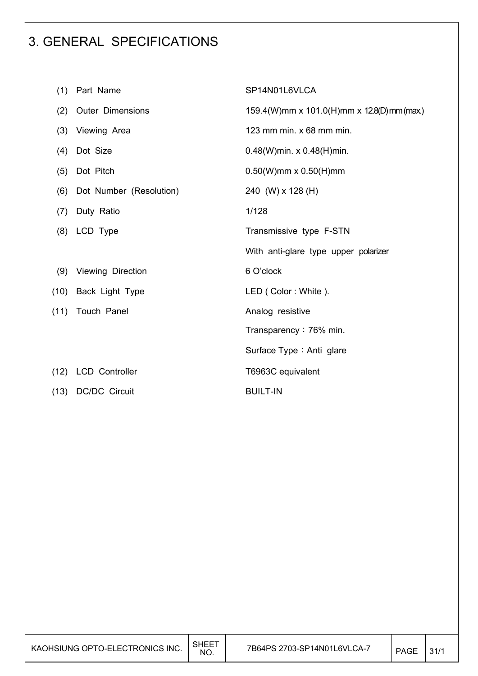## 3. GENERAL SPECIFICATIONS

| (1)  | Part Name               | SP14N01L6VLCA                             |
|------|-------------------------|-------------------------------------------|
| (2)  | <b>Outer Dimensions</b> | 159.4(W)mm x 101.0(H)mm x 12.8(D)mm (max) |
| (3)  | Viewing Area            | 123 mm min. x 68 mm min.                  |
| (4)  | Dot Size                | $0.48(W)$ min. x $0.48(H)$ min.           |
| (5)  | Dot Pitch               | $0.50(W)$ mm x $0.50(H)$ mm               |
| (6)  | Dot Number (Resolution) | 240 (W) x 128 (H)                         |
| (7)  | Duty Ratio              | 1/128                                     |
|      | (8) LCD Type            | Transmissive type F-STN                   |
|      |                         | With anti-glare type upper polarizer      |
| (9)  | Viewing Direction       | 6 O'clock                                 |
|      | (10) Back Light Type    | LED (Color: White).                       |
| (11) | <b>Touch Panel</b>      | Analog resistive                          |
|      |                         | Transparency: 76% min.                    |
|      |                         | Surface Type: Anti glare                  |
|      | (12) LCD Controller     | T6963C equivalent                         |
| (13) | <b>DC/DC Circuit</b>    | <b>BUILT-IN</b>                           |
|      |                         |                                           |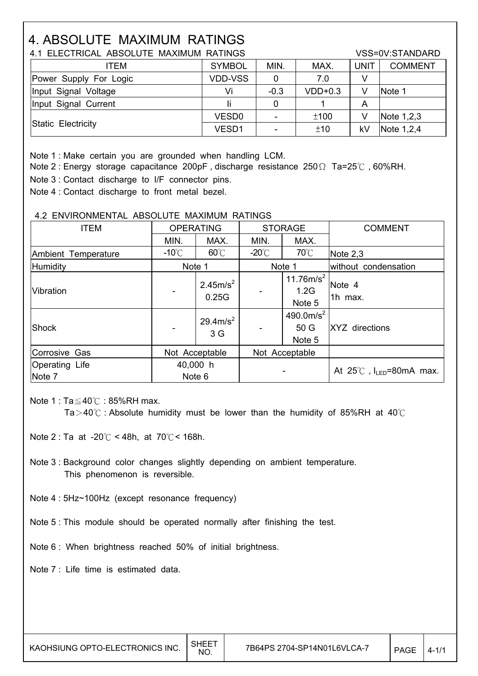# 4. ABSOLUTE MAXIMUM RATINGS

| 4.1 ELECTRICAL ABSOLUTE MAXIMUM RATINGS |                   |        |           |             | VSS=0V:STANDARD |
|-----------------------------------------|-------------------|--------|-----------|-------------|-----------------|
| ITEM                                    | <b>SYMBOL</b>     | MIN.   | MAX.      | <b>UNIT</b> | <b>COMMENT</b>  |
| Power Supply For Logic                  | <b>VDD-VSS</b>    |        | 7.0       |             |                 |
| Input Signal Voltage                    | Vi                | $-0.3$ | $VDD+0.3$ | V           | Note 1          |
| Input Signal Current                    |                   | 0      |           | A           |                 |
|                                         | VESD <sub>0</sub> | ۰      | ±100      | V           | Note $1,2,3$    |
| Static Electricity                      | VESD1             | -      | ±10       | kV          | Note $1,2,4$    |

Note 1 : Make certain you are grounded when handling LCM.

Note 2 : Energy storage capacitance 200pF, discharge resistance 250 $\Omega$  Ta=25°C, 60%RH.

Note 3 : Contact discharge to I/F connector pins.

Note 4 : Contact discharge to front metal bezel.

#### 4.2 ENVIRONMENTAL ABSOLUTE MAXIMUM RATINGS

| <b>ITEM</b>              | <b>OPERATING</b> |                               | <b>STORAGE</b>  |                                         | <b>COMMENT</b>                            |
|--------------------------|------------------|-------------------------------|-----------------|-----------------------------------------|-------------------------------------------|
|                          | MIN.             | MAX.                          | MIN.            | MAX.                                    |                                           |
| Ambient Temperature      | $-10^{\circ}$ C  | $60^{\circ}$ C                | $-20^{\circ}$ C | $70^{\circ}$ C                          | Note 2,3                                  |
| Humidity                 | Note 1           |                               |                 | Note 1                                  | without condensation                      |
| Vibration                |                  | 2.45m/s <sup>2</sup><br>0.25G |                 | 11.76m/s <sup>2</sup><br>1.2G<br>Note 5 | Note 4<br>1h max.                         |
| Shock                    |                  | $29.4 \text{m/s}^2$<br>3 G    |                 | 490.0m/ $s^2$<br>50 G<br>Note 5         | XYZ directions                            |
| Corrosive Gas            | Not Acceptable   |                               |                 | Not Acceptable                          |                                           |
| Operating Life<br>Note 7 | 40,000 h         | Note 6                        |                 |                                         | At $25^{\circ}$ C, $I_{LED} = 80$ mA max. |

Note 1 :  $Ta \leq 40^\circ$ C : 85%RH max.

Ta > 40 $\degree$  : Absolute humidity must be lower than the humidity of 85%RH at 40 $\degree$ C

Note 2 : Ta at -20 $\degree$ C < 48h, at 70 $\degree$ C < 168h.

 Note 3 : Background color changes slightly depending on ambient temperature. This phenomenon is reversible.

Note 4 : 5Hz~100Hz (except resonance frequency)

Note 5 : This module should be operated normally after finishing the test.

Note 6 : When brightness reached 50% of initial brightness.

Note 7 : Life time is estimated data.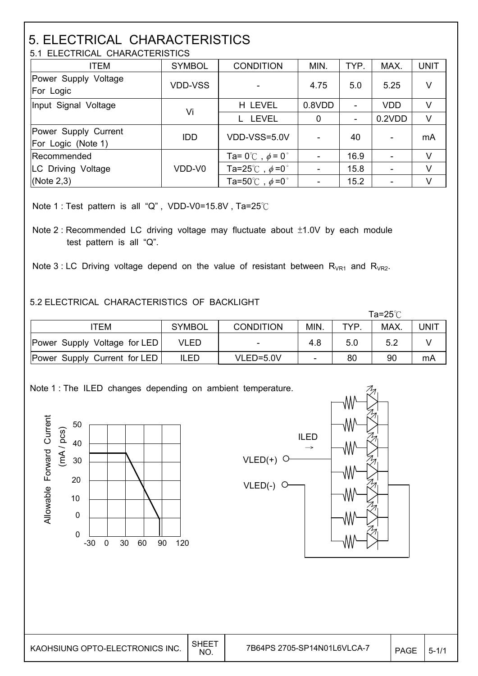# 5. ELECTRICAL CHARACTERISTICS

| 5.1 ELECTRICAL CHARACTERISTICS             |                |                                          |        |      |            |             |
|--------------------------------------------|----------------|------------------------------------------|--------|------|------------|-------------|
| <b>ITEM</b>                                | <b>SYMBOL</b>  | <b>CONDITION</b>                         | MIN.   | TYP. | MAX.       | <b>UNIT</b> |
| Power Supply Voltage<br>For Logic          | <b>VDD-VSS</b> |                                          | 4.75   | 5.0  | 5.25       | V           |
| Input Signal Voltage                       | Vi             | H LEVEL                                  | 0.8VDD |      | <b>VDD</b> | V           |
|                                            |                | <b>LEVEL</b>                             | 0      |      | 0.2VDD     | V           |
| Power Supply Current<br>For Logic (Note 1) | <b>IDD</b>     | VDD-VSS=5.0V                             |        | 40   |            | mA          |
| Recommended                                |                | Ta= $0^{\circ}$ C, $\phi$ = $0^{\circ}$  |        | 16.9 | ۰          | V           |
| LC Driving Voltage                         | VDD-V0         | Ta=25 $^{\circ}$ C, $\phi$ =0 $^{\circ}$ |        | 15.8 | ۰          | V           |
| (Note $2,3$ )                              |                | Ta=50 $^{\circ}$ C, $\phi$ =0 $^{\circ}$ |        | 15.2 |            | V           |

Note 1 : Test pattern is all "Q", VDD-V0=15.8V, Ta=25 $°C$ 

Note 2 : Recommended LC driving voltage may fluctuate about  $±1.0V$  by each module test pattern is all "Q".

Note 3 : LC Driving voltage depend on the value of resistant between  $R_{VR1}$  and  $R_{VR2}$ .

#### 5.2 ELECTRICAL CHARACTERISTICS OF BACKLIGHT

|                                     |               |                  |                          |     | Ta=25℃ |      |
|-------------------------------------|---------------|------------------|--------------------------|-----|--------|------|
| <b>TEM</b>                          | <b>SYMBOL</b> | <b>CONDITION</b> | MIN.                     | TYP | MAX.   | JNIT |
| <b>Power Supply Voltage for LED</b> | VLED          |                  | 4.8                      | 5.0 | 5.2    |      |
| Power Supply Current for LED        | ILED          | VLED=5.0V        | $\overline{\phantom{0}}$ | 80  | 90     | mA   |

Note 1 : The ILED changes depending on ambient temperature.





| KAOHSIUNG OPTO-ELECTRONICS INC. | SHEE<br>NO. | 7B64PS 2705-SP14N01L6VLCA-7 | PAGE | ာ– |
|---------------------------------|-------------|-----------------------------|------|----|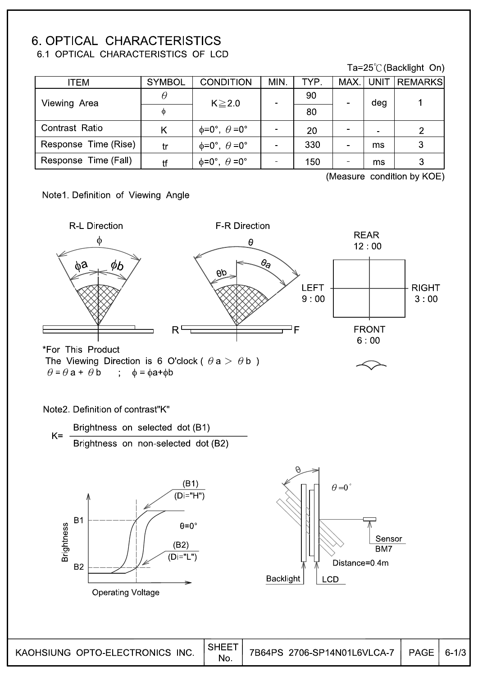#### **6. OPTICAL CHARACTERISTICS** 6.1 OPTICAL CHARACTERISTICS OF LCD

#### Ta=25℃ (Backlight On)

| <b>ITEM</b>          | <b>SYMBOL</b> | <b>CONDITION</b>                      | MIN. | TYP. | MAX   UNIT     | <b>REMARKS</b> |
|----------------------|---------------|---------------------------------------|------|------|----------------|----------------|
| Viewing Area         | $\theta$      | $K \ge 2.0$                           |      | 90   | deg            |                |
|                      | Ф             |                                       |      | 80   |                |                |
| Contrast Ratio       | K             | $\phi = 0^\circ$ , $\theta = 0^\circ$ |      | 20   | $\blacksquare$ | 2              |
| Response Time (Rise) | tr            | $\phi = 0^\circ$ , $\theta = 0^\circ$ |      | 330  | ms             | 3              |
| Response Time (Fall) | tf            | $\phi = 0^\circ$ , $\theta = 0^\circ$ |      | 150  | ms             | 3              |

(Measure condition by KOE)

Note1. Definition of Viewing Angle

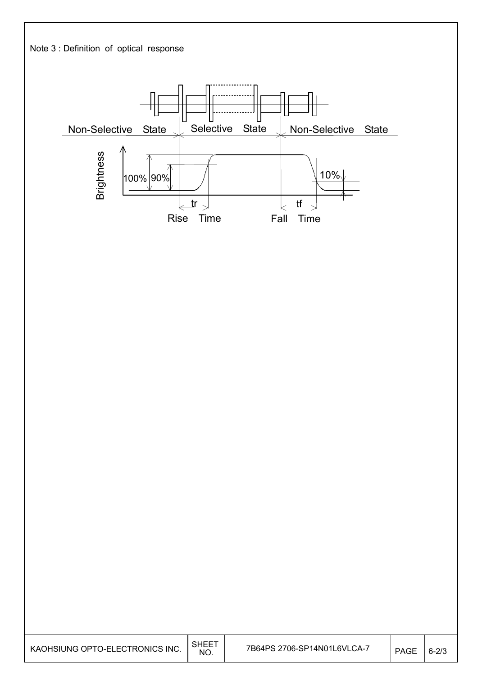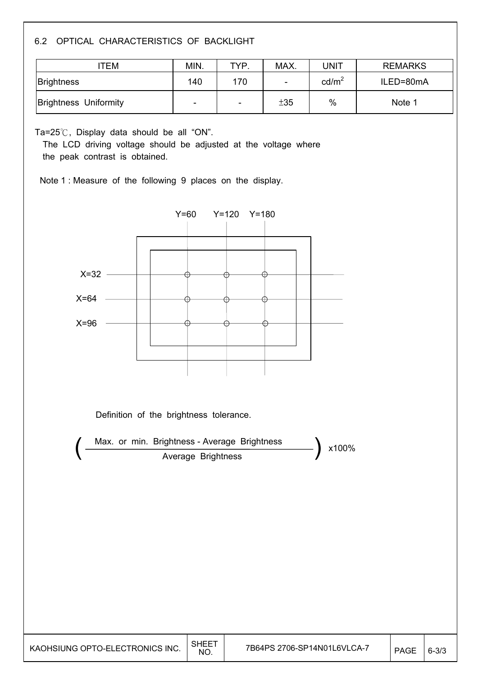#### 6.2 OPTICAL CHARACTERISTICS OF BACKLIGHT

| TEM                          | MIN.                     | TYP.                     | MAX. | JNIT              | <b>REMARKS</b> |
|------------------------------|--------------------------|--------------------------|------|-------------------|----------------|
| <b>Brightness</b>            | 140                      | 170                      | -    | cd/m <sup>2</sup> | ILED=80mA      |
| <b>Brightness Uniformity</b> | $\overline{\phantom{0}}$ | $\overline{\phantom{0}}$ | ±35  | %                 | Note 1         |

Ta= $25^{\circ}$ C, Display data should be all "ON".

The LCD driving voltage should be adjusted at the voltage where the peak contrast is obtained.

Note 1 : Measure of the following 9 places on the display.



Definition of the brightness tolerance.

Average Brightness Max. or min. Brightness - Average Brightness (x100%)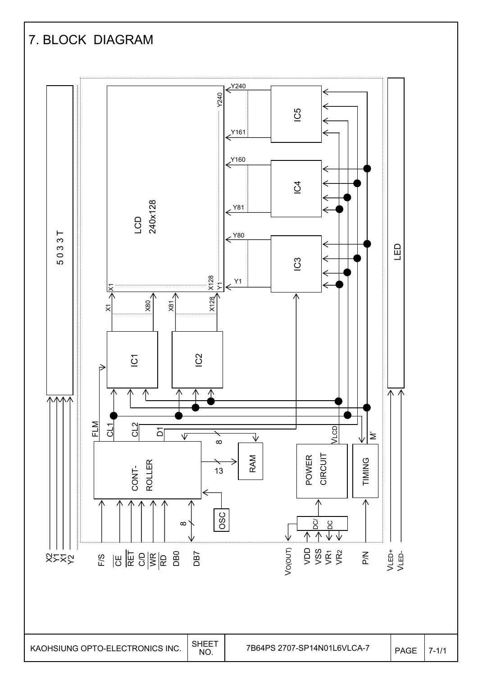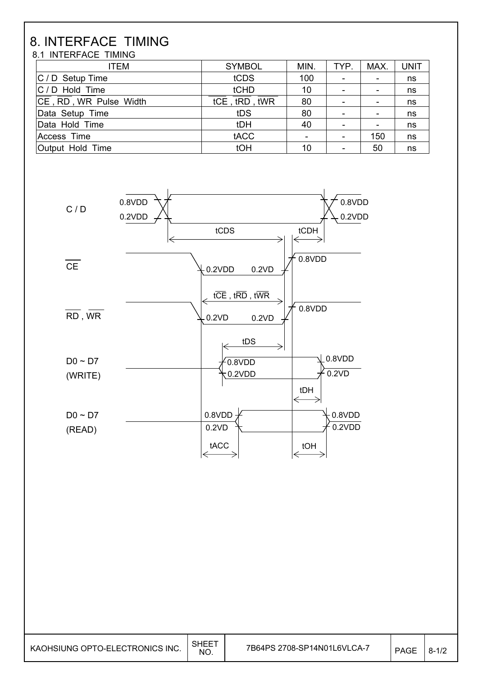# 8. INTERFACE TIMING

8.1 INTERFACE TIMING

| <b>ITEM</b>            | <b>SYMBOL</b> | MIN.                     | TYP. | MAX. | <b>UNIT</b> |
|------------------------|---------------|--------------------------|------|------|-------------|
| $ C / D$ Setup Time    | tCDS          | 100                      | -    |      | ns          |
| $ C / D$ Hold Time     | tCHD          | 10                       | ۰    |      | ns          |
| CE, RD, WR Pulse Width | tCE, tRD, tWR | 80                       | ۰    |      | ns          |
| Data Setup Time        | tDS           | 80                       | ۰    |      | ns          |
| Data Hold Time         | tDH           | 40                       | ۰    |      | ns          |
| Access Time            | tACC          | $\overline{\phantom{0}}$ | ۰    | 150  | ns          |
| Output Hold Time       | tOH           | 10                       | ۰    | 50   | ns          |

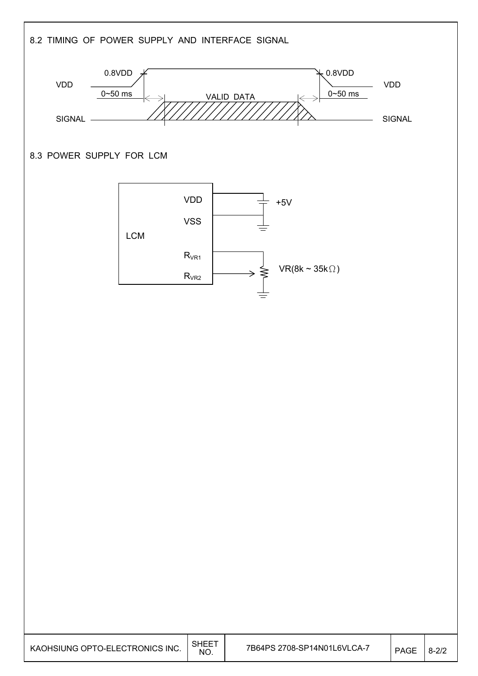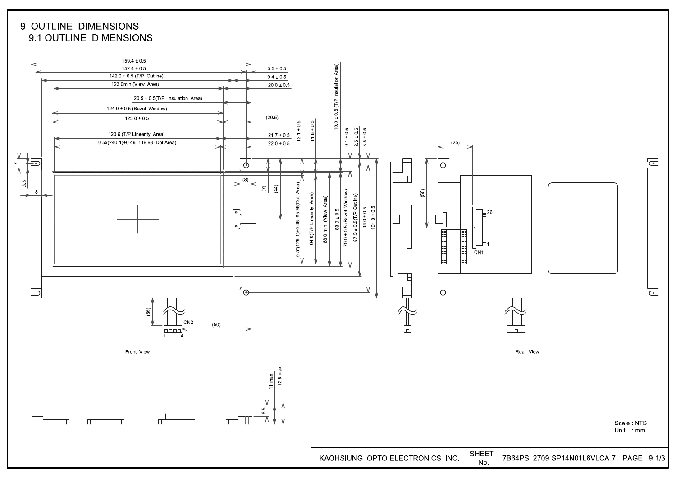9. OUTLINE DIMENSIONS 9.1 OUTLINE DIMENSIONS

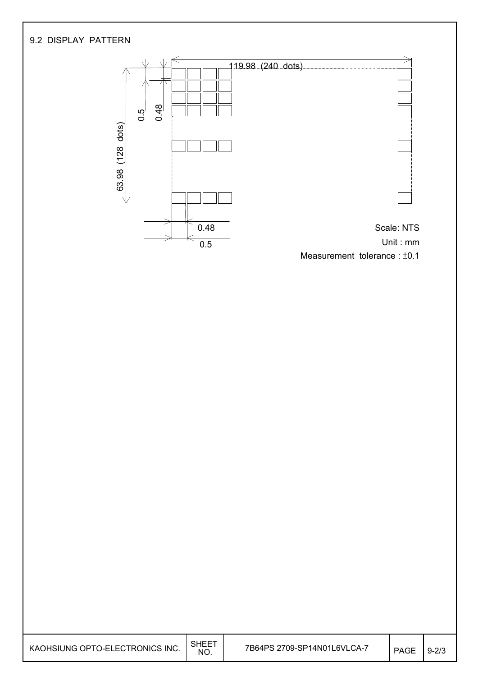

| KAOHSIUNG OPTO-ELECTRONICS INC. | <b>SHEET</b><br>NO. | 7B64PS 2709-SP14N01L6VLCA-7 | <b>PAGE</b> | $9 - 2/3$ |
|---------------------------------|---------------------|-----------------------------|-------------|-----------|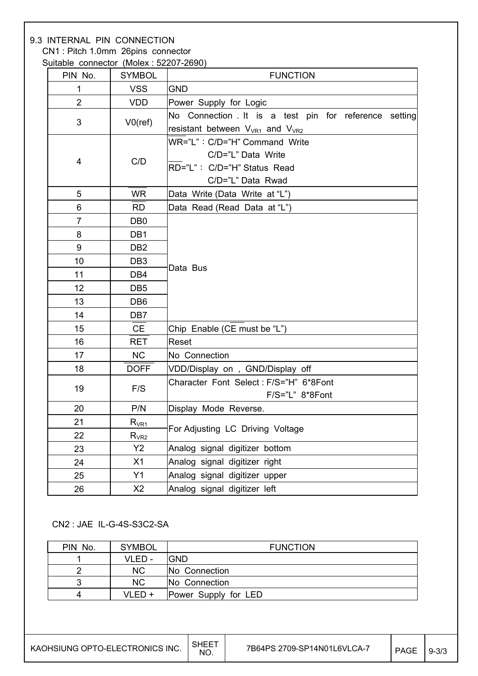#### 9.3 INTERNAL PIN CONNECTION CN1 : Pitch 1.0mm 26pins connector

Suitable connector (Molex : 52207-2690)

| PIN No.        | <b>SYMBOL</b>         | <b>FUNCTION</b>                                      |  |  |  |
|----------------|-----------------------|------------------------------------------------------|--|--|--|
| $\mathbf 1$    | <b>VSS</b>            | <b>GND</b>                                           |  |  |  |
| $\overline{2}$ | <b>VDD</b>            | Power Supply for Logic                               |  |  |  |
|                |                       | No Connection It is a test pin for reference setting |  |  |  |
| 3              | $V0$ (ref)            | resistant between $V_{VR1}$ and $V_{VR2}$            |  |  |  |
|                |                       | WR="L": C/D="H" Command Write                        |  |  |  |
| 4              | C/D                   | C/D="L" Data Write                                   |  |  |  |
|                |                       | RD="L": C/D="H" Status Read                          |  |  |  |
|                |                       | C/D="L" Data Rwad                                    |  |  |  |
| 5              | <b>WR</b>             | Data Write (Data Write at "L")                       |  |  |  |
| 6              | <b>RD</b>             | Data Read (Read Data at "L")                         |  |  |  |
| $\overline{7}$ | DB <sub>0</sub>       |                                                      |  |  |  |
| 8              | DB1                   |                                                      |  |  |  |
| 9              | DB <sub>2</sub>       |                                                      |  |  |  |
| 10             | DB <sub>3</sub>       | Data Bus                                             |  |  |  |
| 11             | DB4                   |                                                      |  |  |  |
| 12             | DB <sub>5</sub>       |                                                      |  |  |  |
| 13             | DB <sub>6</sub>       |                                                      |  |  |  |
| 14             | DB7                   |                                                      |  |  |  |
| 15             | <b>CE</b>             | Chip Enable (CE must be "L")                         |  |  |  |
| 16             | <b>RET</b>            | Reset                                                |  |  |  |
| 17             | <b>NC</b>             | No Connection                                        |  |  |  |
| 18             | <b>DOFF</b>           | VDD/Display on, GND/Display off                      |  |  |  |
| 19             | F/S                   | Character Font Select: F/S="H" 6*8Font               |  |  |  |
|                |                       | F/S="L" 8*8Font                                      |  |  |  |
| 20             | P/N                   | Display Mode Reverse.                                |  |  |  |
| 21             | $R_{V\underline{R1}}$ | For Adjusting LC Driving Voltage                     |  |  |  |
| 22             | $R_{VR2}$             |                                                      |  |  |  |
| 23             | Y2                    | Analog signal digitizer bottom                       |  |  |  |
| 24             | X1                    | Analog signal digitizer right                        |  |  |  |
| 25             | Y1                    | Analog signal digitizer upper                        |  |  |  |
| 26             | X2                    | Analog signal digitizer left                         |  |  |  |

#### CN2 : JAE IL-G-4S-S3C2-SA

| PIN No. | <b>SYMBOL</b> | <b>FUNCTION</b>      |
|---------|---------------|----------------------|
|         | VLED -        | IGND                 |
|         | <b>NC</b>     | No Connection        |
| 3       | <b>NC</b>     | No Connection        |
| 4       | $VLED +$      | Power Supply for LED |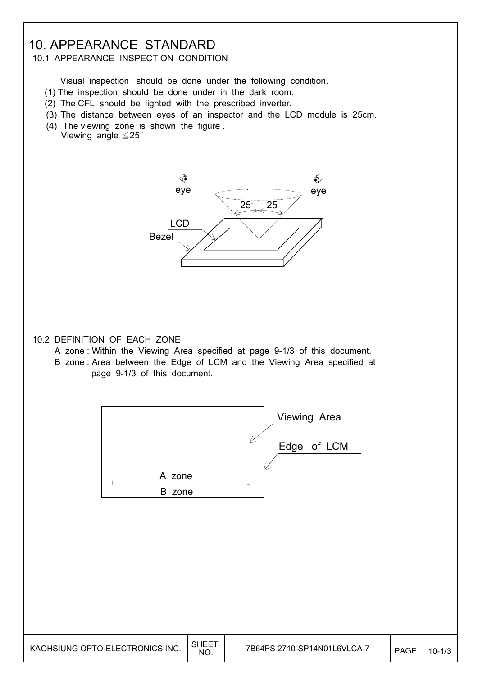### 10. APPEARANCE STANDARD

#### 10.1 APPEARANCE INSPECTION CONDITION

Visual inspection should be done under the following condition.

- (1) The inspection should be done under in the dark room.
- (2) The CFL should be lighted with the prescribed inverter.
- (3) The distance between eyes of an inspector and the LCD module is 25cm.
- (4) The viewing zone is shown the figure . Viewing angle  $\leq 25$ °



#### 10.2 DEFINITION OF EACH ZONE

- A zone : Within the Viewing Area specified at page 9-1/3 of this document.
- B zone : Area between the Edge of LCM and the Viewing Area specified at page 9-1/3 of this document.

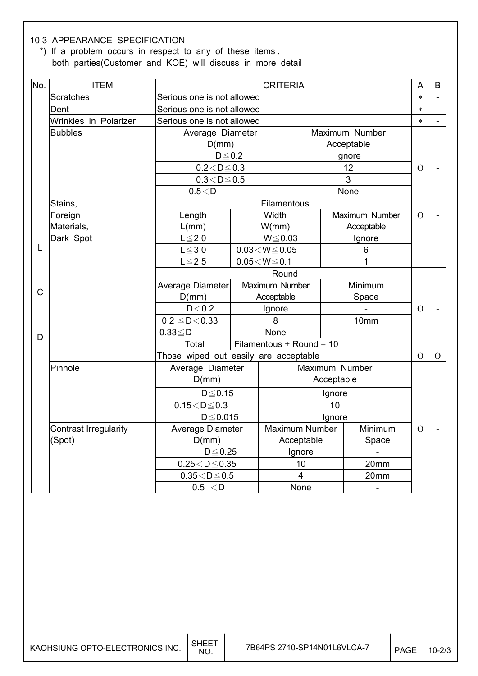#### 10.3 APPEARANCE SPECIFICATION

 \*) If a problem occurs in respect to any of these items , both parties(Customer and KOE) will discuss in more detail

| No.         | <b>ITEM</b>                  | <b>CRITERIA</b>                       |                            |                          |            | A              | B              |                |
|-------------|------------------------------|---------------------------------------|----------------------------|--------------------------|------------|----------------|----------------|----------------|
|             | <b>Scratches</b>             |                                       | Serious one is not allowed |                          |            | $\ast$         | L,             |                |
|             | Dent                         |                                       | Serious one is not allowed |                          |            | $\ast$         |                |                |
|             | Wrinkles in Polarizer        | Serious one is not allowed            |                            |                          |            |                | $\ast$         |                |
|             | <b>Bubbles</b>               | Average Diameter                      |                            |                          |            | Maximum Number |                |                |
|             |                              | D(mm)                                 |                            |                          | Acceptable |                |                |                |
|             |                              | $D \le 0.2$                           |                            |                          |            | Ignore         |                |                |
|             |                              | $0.2 < D \le 0.3$                     |                            |                          |            | 12             | $\Omega$       |                |
|             |                              | $0.3 < D \le 0.5$                     |                            |                          |            | 3              |                |                |
|             |                              | 0.5 < D                               |                            |                          |            | None           |                |                |
|             | Stains,                      |                                       |                            | Filamentous              |            |                |                |                |
|             | Foreign                      | Length                                |                            | Width                    |            | Maximum Number | $\Omega$       |                |
|             | Materials,                   | L(mm)                                 |                            | W/mm)                    |            | Acceptable     |                |                |
|             | Dark Spot                    | $L \leq 2.0$                          |                            | $W \le 0.03$             |            | Ignore         |                |                |
| L           |                              | $L\!\leq\!3.0$                        | $0.03\!<\!W\!\!\leq\!0.05$ |                          |            | 6              |                |                |
|             |                              | $L \le 2.5$                           | $0.05\!<\!W\!\leq\!0.1$    |                          |            | 1              |                |                |
|             |                              | Round                                 |                            |                          |            |                |                |                |
| $\mathsf C$ |                              | Average Diameter                      |                            | Maximum Number           |            | Minimum        |                |                |
|             |                              | D(mm)                                 |                            | Acceptable               |            | Space          |                |                |
|             |                              | D < 0.2                               |                            | Ignore                   |            |                | $\overline{O}$ |                |
|             |                              | $0.2 \leq D < 0.33$                   |                            | 8                        |            | 10mm           |                |                |
| D           |                              | $0.33 \leq D$                         |                            | None                     |            |                |                |                |
|             |                              | Total                                 |                            | Filamentous + Round = 10 |            |                |                |                |
|             |                              | Those wiped out easily are acceptable |                            |                          |            |                | $\overline{O}$ | $\overline{O}$ |
|             | Pinhole                      | Average Diameter                      |                            |                          |            | Maximum Number |                |                |
|             |                              | D(mm)                                 |                            |                          | Acceptable |                |                |                |
|             |                              | $D \le 0.15$                          |                            |                          | Ignore     |                |                |                |
|             |                              | $0.15 < D \leq 0.3$                   |                            |                          | 10         |                |                |                |
|             |                              | $D \leq 0.015$                        |                            | Ignore                   |            |                |                |                |
|             | <b>Contrast Irregularity</b> | Average Diameter                      |                            | <b>Maximum Number</b>    |            | Minimum        | $\overline{O}$ |                |
|             | (Spot)                       | D(mm)                                 |                            | Acceptable               |            | Space          |                |                |
|             |                              | $D \le 0.25$                          |                            | Ignore                   |            |                |                |                |
|             |                              | $0.25 < D \le 0.35$                   |                            | 10                       |            | 20mm           |                |                |
|             |                              | $0.35\!<\!D\!\leq\!0.5$               |                            | $\overline{4}$           |            | 20mm           |                |                |
|             |                              | 0.5 < D                               |                            | None                     |            |                |                |                |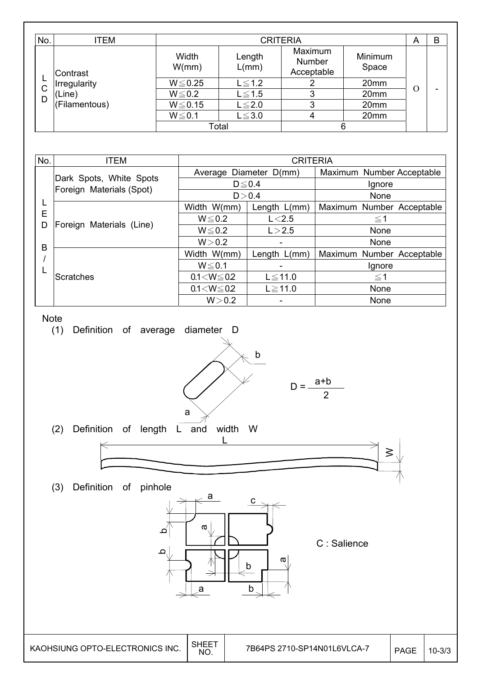| No. | ITEM                          |                                  | <b>CRITERIA</b> |                                 |                  |   |  |
|-----|-------------------------------|----------------------------------|-----------------|---------------------------------|------------------|---|--|
|     | Contrast<br>ш<br>Irregularity | Width<br>W/mm)                   | Length<br>L/mm) | Maximum<br>Number<br>Acceptable | Minimum<br>Space |   |  |
| С   |                               | $W \le 0.25$                     | $L \leq 1.2$    | 2                               | 20mm             |   |  |
| D   | Line)                         | $W \le 0.2$                      | $L \leq 1.5$    | 3                               | 20mm             | Ω |  |
|     | (Filamentous)                 | $W \le 0.15$                     | $L \leq 2.0$    | 3                               | 20mm             |   |  |
|     |                               | $W \le 0.1$<br>$L \leq 3.0$<br>4 |                 | 20mm                            |                  |   |  |
|     |                               |                                  | Total           | 6                               |                  |   |  |

| No. | <b>ITEM</b>                                         |                   | <b>CRITERIA</b>        |                           |
|-----|-----------------------------------------------------|-------------------|------------------------|---------------------------|
|     |                                                     |                   | Average Diameter D(mm) | Maximum Number Acceptable |
|     | Dark Spots, White Spots<br>Foreign Materials (Spot) | $D \le 0.4$       |                        | Ignore                    |
|     |                                                     | D > 0.4           |                        | None                      |
|     |                                                     | Width W(mm)       | Length $L/mm$ )        | Maximum Number Acceptable |
|     | E<br>Foreign Materials (Line)<br>D                  | $W \le 0.2$       | L < 2.5                | $\leq$ 1                  |
|     |                                                     | $W \le 0.2$       | L > 2.5                | None                      |
| B   |                                                     | W > 0.2           |                        | None                      |
|     |                                                     | Width W(mm)       | Length $L/mm$ )        | Maximum Number Acceptable |
|     |                                                     | $W \le 0.1$       |                        | Ignore                    |
|     | Scratches                                           | $0.1 < W \le 0.2$ | $L \le 11.0$           | $\leq$ 1                  |
|     |                                                     | $0.1 < W \le 0.2$ | $L \ge 11.0$           | None                      |
|     |                                                     | W > 0.2           |                        | None                      |



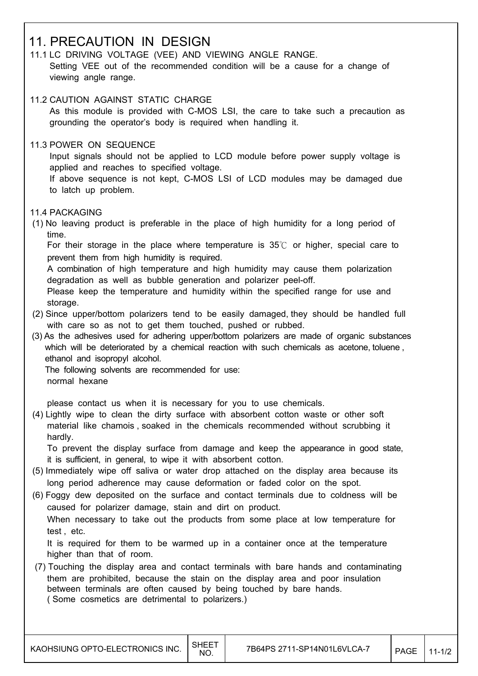### 11. PRECAUTION IN DESIGN

- 11.1 LC DRIVING VOLTAGE (VEE) AND VIEWING ANGLE RANGE. Setting VEE out of the recommended condition will be a cause for a change of viewing angle range.
- 11.2 CAUTION AGAINST STATIC CHARGE As this module is provided with C-MOS LSI, the care to take such a precaution as grounding the operator's body is required when handling it.
- 11.3 POWER ON SEQUENCE

 Input signals should not be applied to LCD module before power supply voltage is applied and reaches to specified voltage.

 If above sequence is not kept, C-MOS LSI of LCD modules may be damaged due to latch up problem.

#### 11.4 PACKAGING

 (1) No leaving product is preferable in the place of high humidity for a long period of time.

For their storage in the place where temperature is  $35^\circ$  or higher, special care to prevent them from high humidity is required.

 A combination of high temperature and high humidity may cause them polarization degradation as well as bubble generation and polarizer peel-off.

 Please keep the temperature and humidity within the specified range for use and storage.

- (2) Since upper/bottom polarizers tend to be easily damaged, they should be handled full with care so as not to get them touched, pushed or rubbed.
- (3) As the adhesives used for adhering upper/bottom polarizers are made of organic substances which will be deteriorated by a chemical reaction with such chemicals as acetone, toluene , ethanol and isopropyl alcohol.

 The following solvents are recommended for use: normal hexane

please contact us when it is necessary for you to use chemicals.

 (4) Lightly wipe to clean the dirty surface with absorbent cotton waste or other soft material like chamois , soaked in the chemicals recommended without scrubbing it hardly.

 To prevent the display surface from damage and keep the appearance in good state, it is sufficient, in general, to wipe it with absorbent cotton.

- (5) Immediately wipe off saliva or water drop attached on the display area because its long period adherence may cause deformation or faded color on the spot.
- (6) Foggy dew deposited on the surface and contact terminals due to coldness will be caused for polarizer damage, stain and dirt on product. When necessary to take out the products from some place at low temperature for test , etc.

 It is required for them to be warmed up in a container once at the temperature higher than that of room.

 (7) Touching the display area and contact terminals with bare hands and contaminating them are prohibited, because the stain on the display area and poor insulation between terminals are often caused by being touched by bare hands. ( Some cosmetics are detrimental to polarizers.)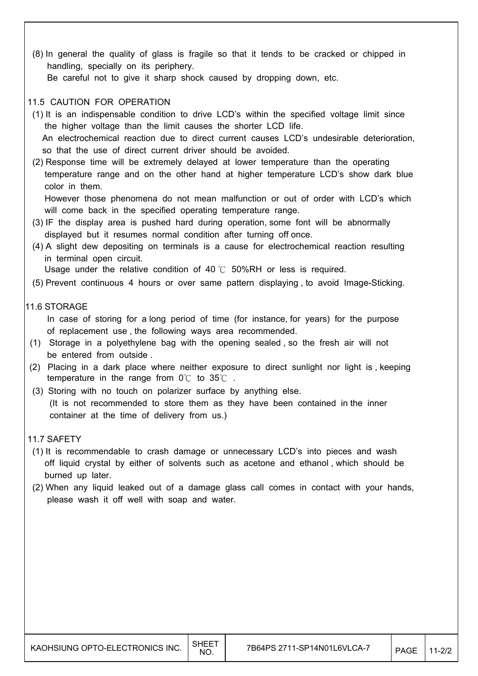(8) In general the quality of glass is fragile so that it tends to be cracked or chipped in handling, specially on its periphery.

Be careful not to give it sharp shock caused by dropping down, etc.

#### 11.5 CAUTION FOR OPERATION

- (1) It is an indispensable condition to drive LCD's within the specified voltage limit since the higher voltage than the limit causes the shorter LCD life. An electrochemical reaction due to direct current causes LCD's undesirable deterioration,
- so that the use of direct current driver should be avoided. (2) Response time will be extremely delayed at lower temperature than the operating temperature range and on the other hand at higher temperature LCD's show dark blue
	- color in them. However those phenomena do not mean malfunction or out of order with LCD's which

will come back in the specified operating temperature range.

- (3) IF the display area is pushed hard during operation, some font will be abnormally displayed but it resumes normal condition after turning off once.
- (4) A slight dew depositing on terminals is a cause for electrochemical reaction resulting in terminal open circuit.

Usage under the relative condition of 40  $\degree$  50%RH or less is required.

(5) Prevent continuous 4 hours or over same pattern displaying , to avoid Image-Sticking.

#### 11.6 STORAGE

- In case of storing for a long period of time (for instance, for years) for the purpose of replacement use , the following ways area recommended.
- (1) Storage in a polyethylene bag with the opening sealed , so the fresh air will not be entered from outside .
- (2) Placing in a dark place where neither exposure to direct sunlight nor light is , keeping temperature in the range from  $0^{\circ}$  to  $35^{\circ}$ .
- (3) Storing with no touch on polarizer surface by anything else. (It is not recommended to store them as they have been contained in the inner container at the time of delivery from us.)

#### 11.7 SAFETY

- (1) It is recommendable to crash damage or unnecessary LCD's into pieces and wash off liquid crystal by either of solvents such as acetone and ethanol , which should be burned up later.
- (2) When any liquid leaked out of a damage glass call comes in contact with your hands, please wash it off well with soap and water.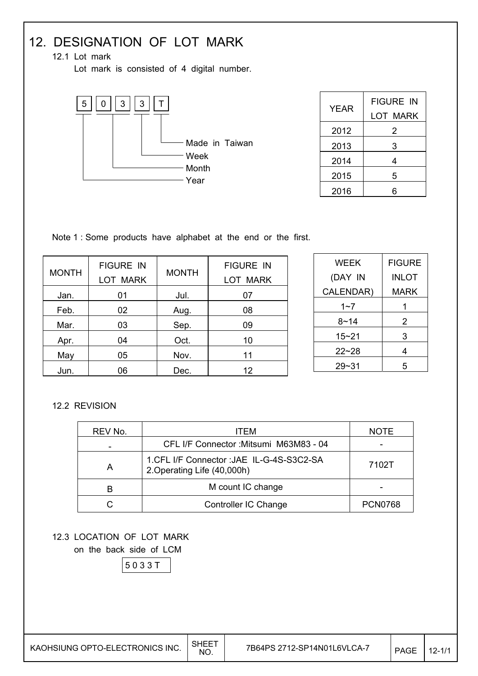## 12. DESIGNATION OF LOT MARK

12.1 Lot mark

Lot mark is consisted of 4 digital number.



| YEAR | <b>FIGURE IN</b> |
|------|------------------|
|      | LOT MARK         |
| 2012 | 2                |
| 2013 | 3                |
| 2014 | 4                |
| 2015 | 5                |
| 2016 | հ                |

Note 1 : Some products have alphabet at the end or the first.

| <b>MONTH</b> | <b>FIGURE IN</b><br><b>LOT MARK</b> | <b>MONTH</b> | <b>FIGURE IN</b><br>LOT MARK |
|--------------|-------------------------------------|--------------|------------------------------|
| Jan.         | 01                                  | Jul.         | 07                           |
| Feb.         | 02                                  | Aug.         | 08                           |
| Mar.         | 03                                  | Sep.         | 09                           |
| Apr.         | 04                                  | Oct.         | 10                           |
| May          | 05                                  | Nov.         | 11                           |
| Jun.         | 06                                  | Dec.         | 12                           |

| WEEK      | <b>FIGURE</b> |
|-----------|---------------|
| (DAY IN   | INLOT         |
| CALENDAR) | MARK          |
| 1~7       | 1             |
| 8~14      | 2             |
| 15~21     | 3             |
| $22 - 28$ | 4             |
| $29 - 31$ | 5             |

#### 12.2 REVISION

| REV No. | ITEM                                                                      | <b>NOTE</b>    |
|---------|---------------------------------------------------------------------------|----------------|
|         | CFL I/F Connector : Mitsumi M63M83 - 04                                   |                |
| A       | 1. CFL I/F Connector : JAE IL-G-4S-S3C2-SA<br>2. Operating Life (40,000h) | 7102T          |
|         | M count IC change                                                         |                |
|         | Controller IC Change                                                      | <b>PCN0768</b> |

12.3 LOCATION OF LOT MARK

on the back side of LCM

5 0 3 3 T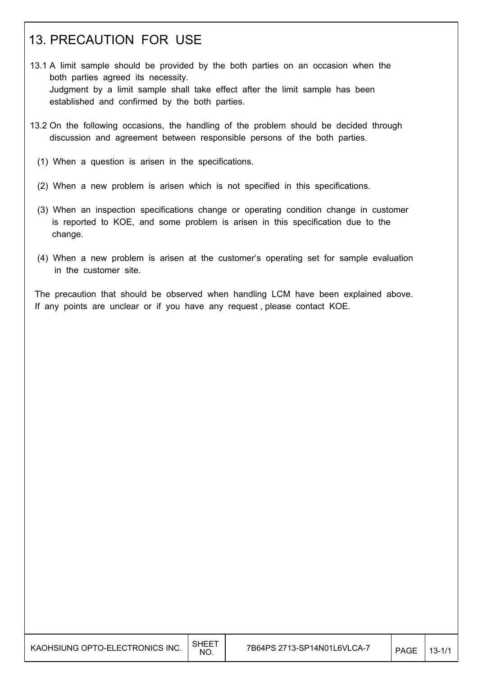## 13. PRECAUTION FOR USE

- 13.1 A limit sample should be provided by the both parties on an occasion when the both parties agreed its necessity. Judgment by a limit sample shall take effect after the limit sample has been established and confirmed by the both parties.
- 13.2 On the following occasions, the handling of the problem should be decided through discussion and agreement between responsible persons of the both parties.
	- (1) When a question is arisen in the specifications.
	- (2) When a new problem is arisen which is not specified in this specifications.
	- (3) When an inspection specifications change or operating condition change in customer is reported to KOE, and some problem is arisen in this specification due to the change.
	- (4) When a new problem is arisen at the customer's operating set for sample evaluation in the customer site.

 The precaution that should be observed when handling LCM have been explained above. If any points are unclear or if you have any request , please contact KOE.

| KAOHSIUNG OPTO-ELECTRONICS INC. | $\mathsf{SHEE}^{\tau}$<br>NO. | 7B64PS 2713-SP14N01L6VLCA-7 | <b>PAGE</b> | $13 - 1/1$ |
|---------------------------------|-------------------------------|-----------------------------|-------------|------------|
|---------------------------------|-------------------------------|-----------------------------|-------------|------------|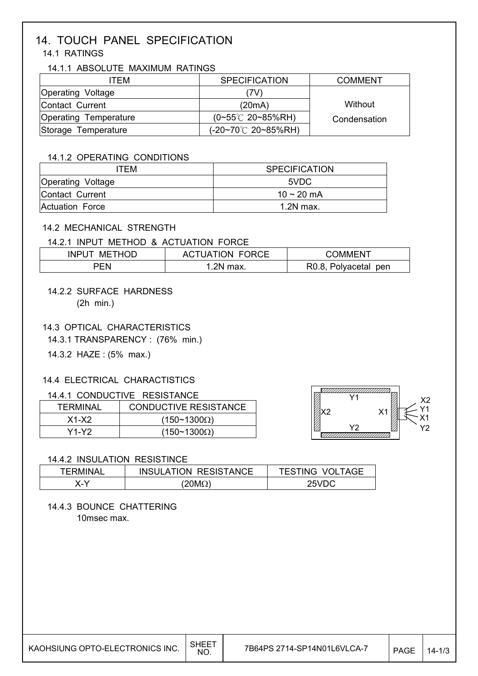#### 14. TOUCH PANEL SPECIFICATION 14.1 RATINGS

#### 14.1.1 ABSOLUTE MAXIMUM RATINGS

| ITFM                  | <b>SPECIFICATION</b>            | <b>COMMENT</b> |
|-----------------------|---------------------------------|----------------|
| Operating Voltage     | 7V)                             |                |
| Contact Current       | (20mA)                          | Without        |
| Operating Temperature | $(0~55^{\circ}C$ 20~85%RH)      | Condensation   |
| Storage Temperature   | $(-20-70^{\circ}C \ 20-85\%RH)$ |                |

#### 14.1.2 OPERATING CONDITIONS

| ITFM.                    | <b>SPECIFICATION</b> |
|--------------------------|----------------------|
| <b>Operating Voltage</b> | 5VDC.                |
| Contact Current          | 10 ~ 20 mA           |
| Actuation Force          | 1.2N max.            |

#### 14.2 MECHANICAL STRENGTH

#### 14.2.1 INPUT METHOD & ACTUATION FORCE

| <b>INPI</b><br>N/IH | <b>LUDUL</b><br>ION.<br>AG. | DMMHN                   |
|---------------------|-----------------------------|-------------------------|
| ъ.                  | .2N<br>max.                 | Polyacetal pen<br>R0.8, |

#### 14.2.2 SURFACE HARDNESS (2h min.)

#### 14.3 OPTICAL CHARACTERISTICS

14.3.1 TRANSPARENCY : (76% min.)

14.3.2 HAZE : (5% max.)

#### 14.4 ELECTRICAL CHARACTISTICS

#### 14.4.1 CONDUCTIVE RESISTANCE

| TFRMINAL | <b>CONDUCTIVE RESISTANCE</b> |
|----------|------------------------------|
| $X1-X2$  | $(150~1300\Omega)$           |
| Y1-Y2.   | $(150~1300\Omega)$           |



#### 14.4.2 INSULATION RESISTINCE

| TERMINAL | <b>INSULATION RESISTANCE</b> | <b>TESTING VOLTAGE</b> |
|----------|------------------------------|------------------------|
| X-Y      | $(20M\Omega)$                | 25VDC                  |

## 14.4.3 BOUNCE CHATTERING

10msec max.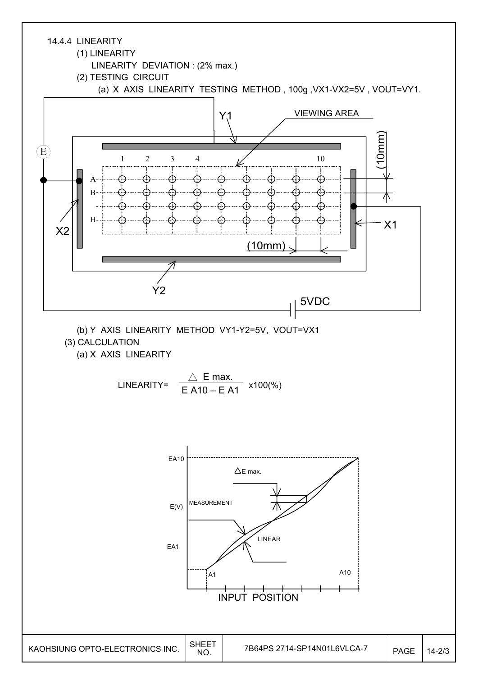